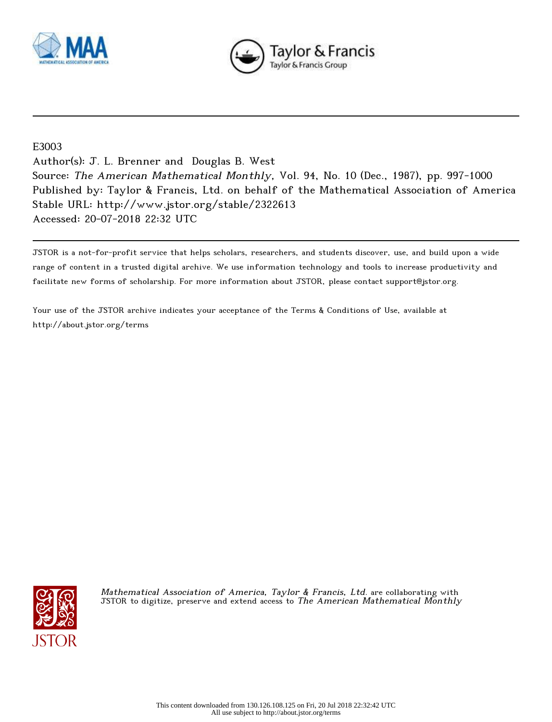



## E3003

Author(s): J. L. Brenner and Douglas B. West Source: The American Mathematical Monthly, Vol. 94, No. 10 (Dec., 1987), pp. 997-1000 Published by: Taylor & Francis, Ltd. on behalf of the Mathematical Association of America Stable URL: http://www.jstor.org/stable/2322613 Accessed: 20-07-2018 22:32 UTC

JSTOR is a not-for-profit service that helps scholars, researchers, and students discover, use, and build upon a wide range of content in a trusted digital archive. We use information technology and tools to increase productivity and facilitate new forms of scholarship. For more information about JSTOR, please contact support@jstor.org.

Your use of the JSTOR archive indicates your acceptance of the Terms & Conditions of Use, available at http://about.jstor.org/terms



Mathematical Association of America, Taylor & Francis, Ltd. are collaborating with JSTOR to digitize, preserve and extend access to The American Mathematical Monthly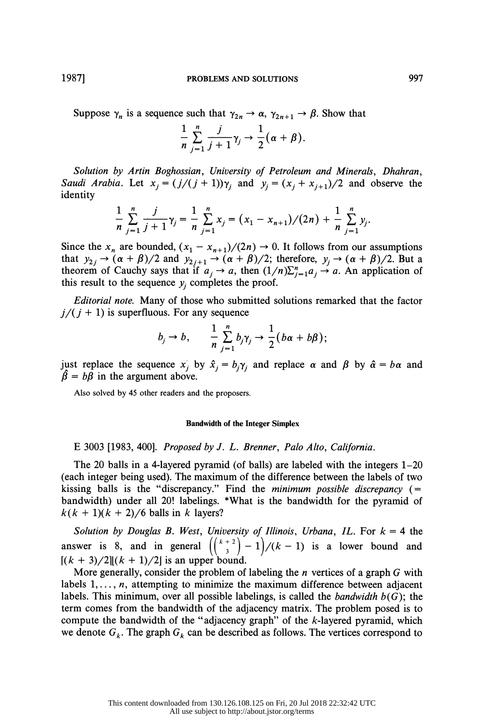Suppose  $\gamma_n$  is a sequence such that  $\gamma_{2n} \to \alpha$ ,  $\gamma_{2n+1} \to \beta$ . Show that

$$
\frac{1}{n}\sum_{j=1}^n\frac{j}{j+1}\gamma_j\to\frac{1}{2}(\alpha+\beta).
$$

Solution by Artin Boghossian, University of Petroleum and Minerals, Dhahran, Saudi Arabia. Let  $x_i = (j/(j + 1))\gamma_i$  and  $y_i = (x_i + x_{i+1})/2$  and observe the identity

$$
\frac{1}{n}\sum_{j=1}^n\frac{j}{j+1}\gamma_j=\frac{1}{n}\sum_{j=1}^n x_j=(x_1-x_{n+1})/(2n)+\frac{1}{n}\sum_{j=1}^n y_j.
$$

Since the  $x_n$  are bounded,  $(x_1 - x_{n+1})/(2n) \rightarrow 0$ . It follows from our assumptions that  $y_{2j} \rightarrow (\alpha + \beta)/2$  and  $y_{2j+1} \rightarrow (\alpha + \beta)/2$ ; therefore,  $y_j \rightarrow (\alpha + \beta)/2$ . But a theorem of Cauchy says that if  $a_j \rightarrow a$ , then  $(1/n)\sum_{j=1}^n a_j \rightarrow a$ . An application of this result to the sequence  $y_i$  completes the proof.

*Editorial note.* Many of those who submitted solutions remarked that the factor  $j/(j + 1)$  is superfluous. For any sequence

$$
b_j \to b, \qquad \frac{1}{n} \sum_{j=1}^n b_j \gamma_j \to \frac{1}{2} (b\alpha + b\beta);
$$

just replace the sequence  $x_j$  by  $\hat{x}_j = b_j \gamma_j$  and replace  $\alpha$  and  $\beta$  by  $\hat{\alpha} = b \alpha$  and  $\hat{\beta} = b\beta$  in the argument above.

Also solved by 45 other readers and the proposers.

## **Bandwidth of the Integer Simplex**

E 3003 [1983, 400]. Proposed by J. L. Brenner, Palo Alto, California.

The 20 balls in a 4-layered pyramid (of balls) are labeled with the integers  $1-20$ (each integer being used). The maximum of the difference between the labels of two kissing balls is the "discrepancy." Find the minimum possible discrepancy  $($  = bandwidth) under all 20! labelings. \*What is the bandwidth for the pyramid of  $k(k + 1)(k + 2)/6$  balls in k layers?

Solution by Douglas B. West, University of Illinois, Urbana, IL. For  $k = 4$  the answer is 8, and in general  $\left( \binom{k+2}{3} - 1 \right) / (k - 1)$  is a lower bound and  $[(k + 3)/2][(k + 1)/2]$  is an upper bound.

More generally, consider the problem of labeling the  $n$  vertices of a graph  $G$  with labels  $1, \ldots, n$ , attempting to minimize the maximum difference between adjacent labels. This minimum, over all possible labelings, is called the *bandwidth*  $b(G)$ ; the term comes from the bandwidth of the adjacency matrix. The problem posed is to compute the bandwidth of the "adjacency graph" of the  $k$ -layered pyramid, which we denote  $G_k$ . The graph  $G_k$  can be described as follows. The vertices correspond to

1987]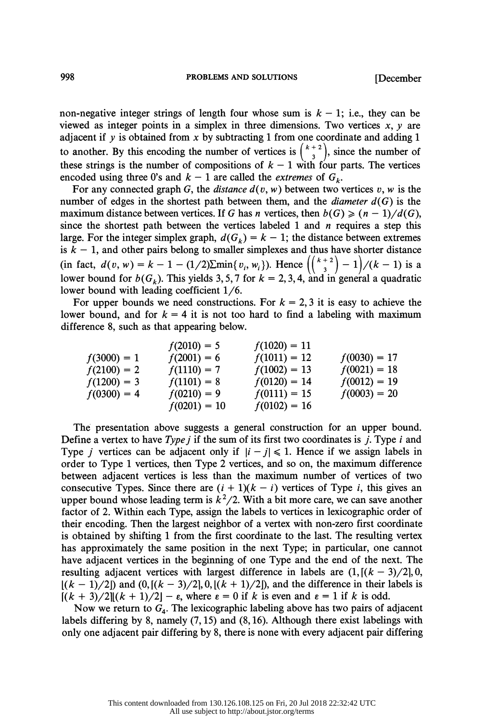non-negative integer strings of length four whose sum is  $k - 1$ ; i.e., they can be viewed as integer points in a simplex in three dimensions. Two vertices  $x, y$  are adjacent if  $y$  is obtained from  $x$  by subtracting 1 from one coordinate and adding 1 to another. By this encoding the number of vertices is  $\binom{k+2}{3}$ , since the number of these strings is the number of compositions of  $k - 1$  with four parts. The vertices encoded using three 0's and  $k - 1$  are called the *extremes* of  $G_k$ .

For any connected graph G, the *distance*  $d(v, w)$  between two vertices v, w is the number of edges in the shortest path between them, and the *diameter*  $d(G)$  is the maximum distance between vertices. If G has n vertices, then  $b(G) \geq (n-1)/d(G)$ , since the shortest path between the vertices labeled 1 and  $n$  requires a step this large. For the integer simplex graph,  $d(G_k) = k - 1$ ; the distance between extremes is  $k - 1$ , and other pairs belong to smaller simplexes and thus have shorter distance (in fact,  $d(v, w) = k - 1 - (1/2) \text{Im} \{v_i, w_i\}$ ). Hence  $\left(\frac{1}{2}\right)^{-1}$   $\left(\frac{k-1}{2}\right)$  is a lower bound for  $b(G_k)$ . This yields 3, 5, 7 for  $k = 2, 3, 4$ , and in general a quadratic lower bound with leading coefficient 1/6.

For upper bounds we need constructions. For  $k = 2, 3$  it is easy to achieve the lower bound, and for  $k = 4$  it is not too hard to find a labeling with maximum difference 8, such as that appearing below.

| $f(3000) = 1$  | $f(2010) = 5$  | $f(1020) = 11$ |                |
|----------------|----------------|----------------|----------------|
| $f(3000) = 1$  | $f(2001) = 6$  | $f(1011) = 12$ | $f(0030) = 17$ |
| $f(2100) = 2$  | $f(1110) = 7$  | $f(1002) = 13$ | $f(0021) = 18$ |
| $f(1200) = 3$  | $f(1101) = 8$  | $f(0120) = 14$ | $f(0012) = 19$ |
| $f(0300) = 4$  | $f(0210) = 9$  | $f(0111) = 15$ | $f(0003) = 20$ |
| $f(0201) = 10$ | $f(0102) = 16$ |                |                |

 The presentation above suggests a general construction for an upper bound. Define a vertex to have  $Type j$  if the sum of its first two coordinates is j. Type i and Type *j* vertices can be adjacent only if  $|i - j| \le 1$ . Hence if we assign labels in order to Type 1 vertices, then Type 2 vertices, and so on, the maximum difference between adjacent vertices is less than the maximum number of vertices of two consecutive Types. Since there are  $(i + 1)(k - i)$  vertices of Type i, this gives an 'upper bound whose leading term is  $k^2/2$ . With a bit more care, we can save another factor of 2. Within each Type, assign the labels to vertices in lexicographic order of their encoding. Then the largest neighbor of a vertex with non-zero first coordinate is obtained by shifting 1 from the first coordinate to the last. The resulting vertex has approximately the same position in the next Type; in particular, one cannot have adjacent vertices in the beginning of one Type and the end of the next. The resulting adjacent vertices with largest difference in labels are  $(1, [(k-3)/2], 0,$  $[(k-1)/2]$  and  $(0, [(k-3)/2], 0, [(k+1)/2])$ , and the difference in their labels is  $[(k + 3)/2][(k + 1)/2] - \varepsilon$ , where  $\varepsilon = 0$  if k is even and  $\varepsilon = 1$  if k is odd.

Now we return to  $G_4$ . The lexicographic labeling above has two pairs of adjacent labels differing by 8, namely (7,15) and (8,16). Although there exist labelings with only one adjacent pair differing by 8, there is none with every adjacent pair differing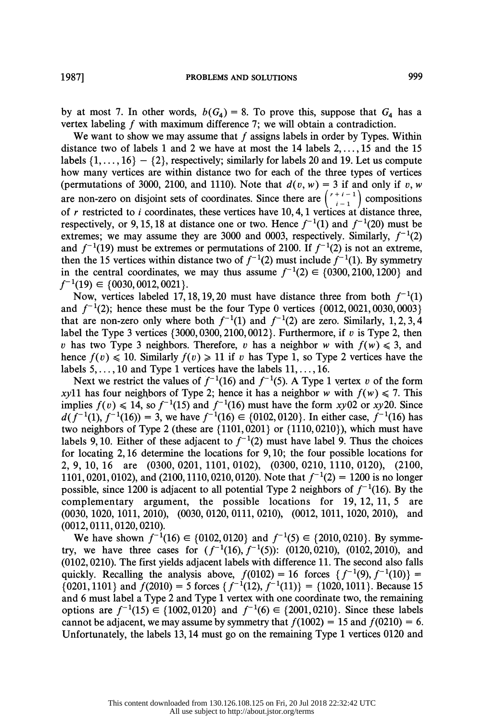We want to show we may assume that  $f$  assigns labels in order by Types. Within distance two of labels 1 and 2 we have at most the 14 labels 2, .. ., 15 and the 15 labels  $\{1, \ldots, 16\} - \{2\}$ , respectively; similarly for labels 20 and 19. Let us compute how many vertices are within distance two for each of the three types of vertices (permutations of 3000, 2100, and 1110). Note that  $d(v, w) = 3$  if and only if v, w are non-zero on disjoint sets of coordinates. Since there are  $\binom{r+i-1}{i-1}$  compositions of r restricted to i coordinates, these vertices have 10, 4, 1 vertices at distance three, respectively, or 9, 15, 18 at distance one or two. Hence  $f^{-1}(1)$  and  $f^{-1}(20)$  must be extremes; we may assume they are 3000 and 0003, respectively. Similarly,  $f^{-1}(2)$ and  $f^{-1}(19)$  must be extremes or permutations of 2100. If  $f^{-1}(2)$  is not an extreme, then the 15 vertices within distance two of  $f^{-1}(2)$  must include  $f^{-1}(1)$ . By symmetry in the central coordinates, we may thus assume  $f^{-1}(2) \in \{0300, 2100, 1200\}$  and  $f^{-1}(19) \in \{0030, 0012, 0021\}.$ 

Now, vertices labeled 17, 18, 19, 20 must have distance three from both  $f^{-1}(1)$ and  $f^{-1}(2)$ ; hence these must be the four Type 0 vertices {0012,0021,0030,0003} that are non-zero only where both  $f^{-1}(1)$  and  $f^{-1}(2)$  are zero. Similarly, 1, 2, 3, 4 label the Type 3 vertices  $\{3000,0300,2100,0012\}$ . Furthermore, if v is Type 2, then v has two Type 3 neighbors. Therefore, v has a neighbor w with  $f(w) \le 3$ , and hence  $f(v) \le 10$ . Similarly  $f(v) \ge 11$  if v has Type 1, so Type 2 vertices have the labels  $5, \ldots, 10$  and Type 1 vertices have the labels  $11, \ldots, 16$ .

Next we restrict the values of  $f^{-1}(16)$  and  $f^{-1}(5)$ . A Type 1 vertex v of the form xyll has four neighbors of Type 2; hence it has a neighbor w with  $f(w) \le 7$ . This implies  $f(v) \le 14$ , so  $f^{-1}(15)$  and  $f^{-1}(16)$  must have the form xy02 or xy20. Since  $d(f^{-1}(1), f^{-1}(16)) = 3$ , we have  $f^{-1}(16) \in \{0102, 0120\}$ . In either case,  $f^{-1}(16)$  has two neighbors of Type 2 (these are  $\{1101, 0201\}$  or  $\{1110, 0210\}$ ), which must have labels 9,10. Either of these adjacent to  $f^{-1}(2)$  must have label 9. Thus the choices for locating 2, 16 determine the locations for 9,10; the four possible locations for 2, 9, 10, 16 are (0300, 0201, 1101, 0102), (0300, 0210, 1110, 0120), (2100, 1101, 0201, 0102), and (2100, 1110, 0210, 0120). Note that  $f^{-1}(2) = 1200$  is no longer possible, since 1200 is adjacent to all potential Type 2 neighbors of  $f^{-1}(16)$ . By the complementary argument, the possible locations for 19, 12, 11, 5 are (0030, 1020, 1011, 2010), (0030, 0120, 0111, 0210), (0012, 1011, 1020, 2010), and (0012,0111,0120,0210).

We have shown  $f^{-1}(16) \in \{0102, 0120\}$  and  $f^{-1}(5) \in \{2010, 0210\}$ . By symmetry, we have three cases for  $(f^{-1}(16), f^{-1}(5))$ : (0120, 0210), (0102, 2010), and (0102,0210). The first yields adjacent labels with difference 11. The second also falls quickly. Recalling the analysis above,  $f(0102) = 16$  forces  $\{f^{-1}(9), f^{-1}(10)\} =$  ${0201, 1101}$  and  $f(2010) = 5$  forces  ${f^{-1}(12), f^{-1}(11)} = {1020, 1011}$ . Because 15 and 6 must label a Type 2 and Type 1 vertex with one coordinate two, the remaining options are  $f^{-1}(15) \in \{1002, 0120\}$  and  $f^{-1}(6) \in \{2001, 0210\}$ . Since these labels cannot be adjacent, we may assume by symmetry that  $f(1002) = 15$  and  $f(0210) = 6$ . Unfortunately, the labels 13,14 must go on the remaining Type 1 vertices 0120 and